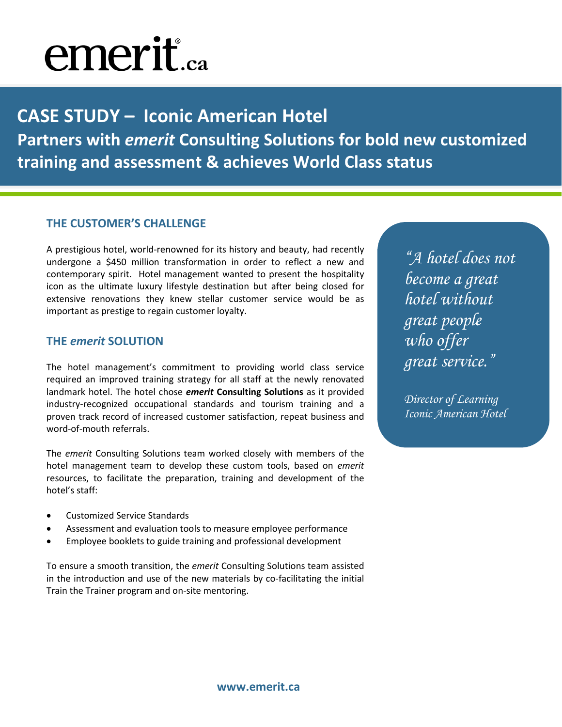# emerit.ca

**CASE STUDY – Iconic American Hotel Partners with** *emerit* **Consulting Solutions for bold new customized training and assessment & achieves World Class status**

#### **THE CUSTOMER'S CHALLENGE**

A prestigious hotel, world-renowned for its history and beauty, had recently undergone a \$450 million transformation in order to reflect a new and contemporary spirit. Hotel management wanted to present the hospitality icon as the ultimate luxury lifestyle destination but after being closed for extensive renovations they knew stellar customer service would be as important as prestige to regain customer loyalty.

### **THE** *emerit* **SOLUTION**

The hotel management's commitment to providing world class service required an improved training strategy for all staff at the newly renovated landmark hotel. The hotel chose *emerit* **Consulting Solutions** as it provided industry-recognized occupational standards and tourism training and a proven track record of increased customer satisfaction, repeat business and word-of-mouth referrals.

The *emerit* Consulting Solutions team worked closely with members of the hotel management team to develop these custom tools, based on *emerit* resources, to facilitate the preparation, training and development of the hotel's staff:

- Customized Service Standards
- Assessment and evaluation tools to measure employee performance
- Employee booklets to guide training and professional development

To ensure a smooth transition, the *emerit* Consulting Solutions team assisted in the introduction and use of the new materials by co-facilitating the initial Train the Trainer program and on-site mentoring.

*"A hotel does not become a great hotel without great people who offer great service."*

*Director of Learning Iconic American Hotel*